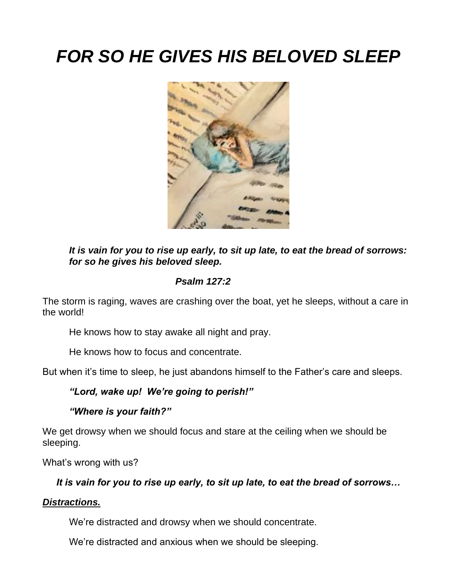# *FOR SO HE GIVES HIS BELOVED SLEEP*



*It is vain for you to rise up early, to sit up late, to eat the bread of sorrows: for so he gives his beloved sleep.*

## *Psalm 127:2*

The storm is raging, waves are crashing over the boat, yet he sleeps, without a care in the world!

He knows how to stay awake all night and pray.

He knows how to focus and concentrate.

But when it's time to sleep, he just abandons himself to the Father's care and sleeps.

### *"Lord, wake up! We're going to perish!"*

 *"Where is your faith?"*

We get drowsy when we should focus and stare at the ceiling when we should be sleeping.

What's wrong with us?

### *It is vain for you to rise up early, to sit up late, to eat the bread of sorrows…*

### *Distractions.*

We're distracted and drowsy when we should concentrate.

We're distracted and anxious when we should be sleeping.